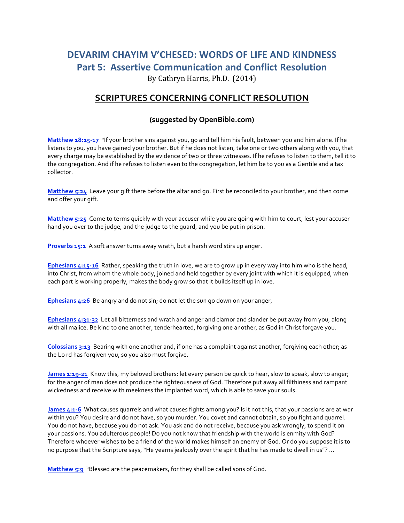## **DEVARIM CHAYIM V'CHESED: WORDS OF LIFE AND KINDNESS Part 5: Assertive Communication and Conflict Resolution** By Cathryn Harris, Ph.D. (2014)

**SCRIPTURES CONCERNING CONFLICT RESOLUTION** 

## **(suggested by OpenBible.com)**

**Matthew 18:15-17** "If your brother sins against you, go and tell him his fault, between you and him alone. If he listens to you, you have gained your brother. But if he does not listen, take one or two others along with you, that every charge may be established by the evidence of two or three witnesses. If he refuses to listen to them, tell it to the congregation. And if he refuses to listen even to the congregation, let him be to you as a Gentile and a tax collector.

**Matthew 5:24** Leave your gift there before the altar and go. First be reconciled to your brother, and then come and offer your gift.

**Matthew 5:25** Come to terms quickly with your accuser while you are going with him to court, lest your accuser hand you over to the judge, and the judge to the quard, and you be put in prison.

**Proverbs 15:1** A soft answer turns away wrath, but a harsh word stirs up anger.

**Ephesians** 4:15-16 Rather, speaking the truth in love, we are to grow up in every way into him who is the head, into Christ, from whom the whole body, joined and held together by every joint with which it is equipped, when each part is working properly, makes the body grow so that it builds itself up in love.

**Ephesians 4:26** Be angry and do not sin; do not let the sun go down on your anger,

**Ephesians 4:31-32** Let all bitterness and wrath and anger and clamor and slander be put away from you, along with all malice. Be kind to one another, tenderhearted, forgiving one another, as God in Christ forgave you.

**Colossians** 3:13 Bearing with one another and, if one has a complaint against another, forgiving each other, as the Lo rd has forgiven you, so you also must forgive.

**James 1:19-21** Know this, my beloved brothers: let every person be quick to hear, slow to speak, slow to anger; for the anger of man does not produce the righteousness of God. Therefore put away all filthiness and rampant wickedness and receive with meekness the implanted word, which is able to save your souls.

**James 4:1-6** What causes quarrels and what causes fights among you? Is it not this, that your passions are at war within you? You desire and do not have, so you murder. You covet and cannot obtain, so you fight and quarrel. You do not have, because you do not ask. You ask and do not receive, because you ask wrongly, to spend it on your passions. You adulterous people! Do you not know that friendship with the world is enmity with God? Therefore whoever wishes to be a friend of the world makes himself an enemy of God. Or do you suppose it is to no purpose that the Scripture says, "He yearns jealously over the spirit that he has made to dwell in us"? ...

**Matthew 5:9** "Blessed are the peacemakers, for they shall be called sons of God.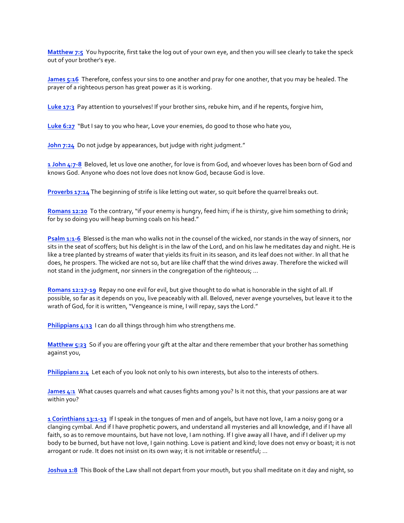**Matthew 7:5** You hypocrite, first take the log out of your own eye, and then you will see clearly to take the speck out of your brother's eye.

**James 5:16** Therefore, confess your sins to one another and pray for one another, that you may be healed. The prayer of a righteous person has great power as it is working.

Luke 17:3 Pay attention to yourselves! If your brother sins, rebuke him, and if he repents, forgive him,

Luke 6:27 "But I say to you who hear, Love your enemies, do good to those who hate you,

John 7:24 Do not judge by appearances, but judge with right judgment."

**1** John 4:7-8 Beloved, let us love one another, for love is from God, and whoever loves has been born of God and knows God. Anyone who does not love does not know God, because God is love.

**Proverbs 17:14** The beginning of strife is like letting out water, so quit before the quarrel breaks out.

**Romans 12:20** To the contrary, "if your enemy is hungry, feed him; if he is thirsty, give him something to drink; for by so doing you will heap burning coals on his head."

**Psalm 1:1-6** Blessed is the man who walks not in the counsel of the wicked, nor stands in the way of sinners, nor sits in the seat of scoffers; but his delight is in the law of the Lord, and on his law he meditates day and night. He is like a tree planted by streams of water that yields its fruit in its season, and its leaf does not wither. In all that he does, he prospers. The wicked are not so, but are like chaff that the wind drives away. Therefore the wicked will not stand in the judgment, nor sinners in the congregation of the righteous; ...

**Romans 12:17-19** Repay no one evil for evil, but give thought to do what is honorable in the sight of all. If possible, so far as it depends on you, live peaceably with all. Beloved, never avenge yourselves, but leave it to the wrath of God, for it is written, "Vengeance is mine, I will repay, says the Lord."

**Philippians 4:13** I can do all things through him who strengthens me.

**Matthew 5:23** So if you are offering your gift at the altar and there remember that your brother has something against you,

**Philippians 2:4** Let each of you look not only to his own interests, but also to the interests of others.

**James 4:1** What causes quarrels and what causes fights among you? Is it not this, that your passions are at war within you?

**1** Corinthians 13:1-13 If I speak in the tongues of men and of angels, but have not love, I am a noisy gong or a clanging cymbal. And if I have prophetic powers, and understand all mysteries and all knowledge, and if I have all faith, so as to remove mountains, but have not love, I am nothing. If I give away all I have, and if I deliver up my body to be burned, but have not love, I gain nothing. Love is patient and kind; love does not envy or boast; it is not arrogant or rude. It does not insist on its own way; it is not irritable or resentful; ...

**Joshua 1:8** This Book of the Law shall not depart from your mouth, but you shall meditate on it day and night, so